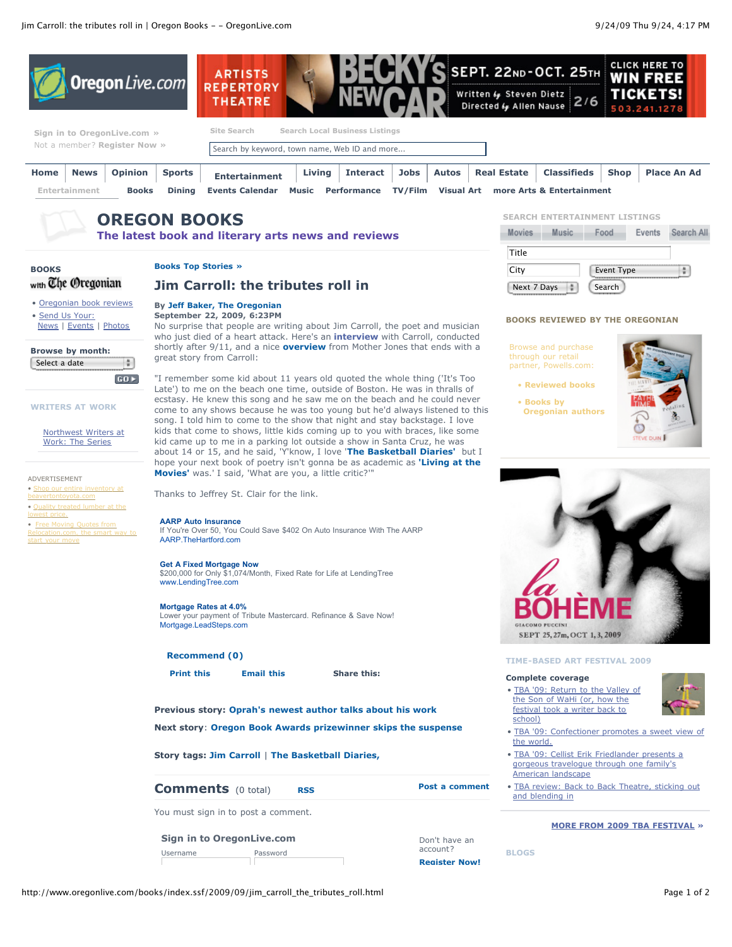

Username Password

account? **Register Now!**

**BLOGS**